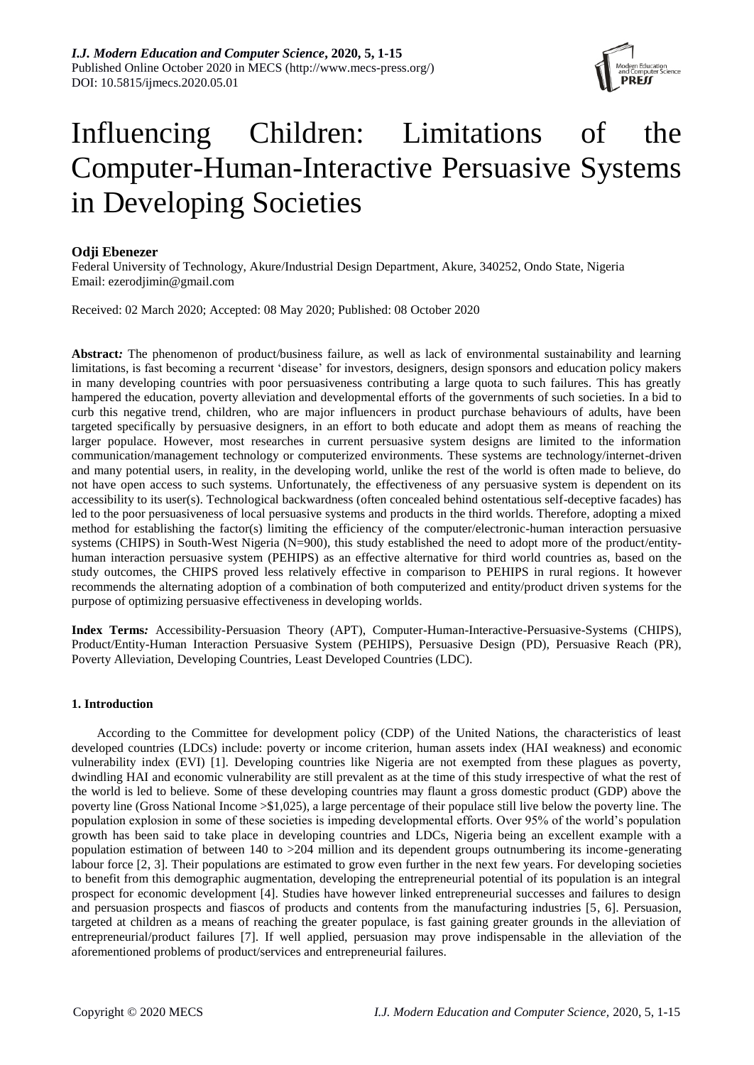

# Influencing Children: Limitations of the Computer-Human-Interactive Persuasive Systems in Developing Societies

# **Odji Ebenezer**

Federal University of Technology, Akure/Industrial Design Department, Akure, 340252, Ondo State, Nigeria Email: ezerodjimin@gmail.com

Received: 02 March 2020; Accepted: 08 May 2020; Published: 08 October 2020

**Abstract***:* The phenomenon of product/business failure, as well as lack of environmental sustainability and learning limitations, is fast becoming a recurrent 'disease' for investors, designers, design sponsors and education policy makers in many developing countries with poor persuasiveness contributing a large quota to such failures. This has greatly hampered the education, poverty alleviation and developmental efforts of the governments of such societies. In a bid to curb this negative trend, children, who are major influencers in product purchase behaviours of adults, have been targeted specifically by persuasive designers, in an effort to both educate and adopt them as means of reaching the larger populace. However, most researches in current persuasive system designs are limited to the information communication/management technology or computerized environments. These systems are technology/internet-driven and many potential users, in reality, in the developing world, unlike the rest of the world is often made to believe, do not have open access to such systems. Unfortunately, the effectiveness of any persuasive system is dependent on its accessibility to its user(s). Technological backwardness (often concealed behind ostentatious self-deceptive facades) has led to the poor persuasiveness of local persuasive systems and products in the third worlds. Therefore, adopting a mixed method for establishing the factor(s) limiting the efficiency of the computer/electronic-human interaction persuasive systems (CHIPS) in South-West Nigeria (N=900), this study established the need to adopt more of the product/entityhuman interaction persuasive system (PEHIPS) as an effective alternative for third world countries as, based on the study outcomes, the CHIPS proved less relatively effective in comparison to PEHIPS in rural regions. It however recommends the alternating adoption of a combination of both computerized and entity/product driven systems for the purpose of optimizing persuasive effectiveness in developing worlds.

**Index Terms***:* Accessibility-Persuasion Theory (APT), Computer-Human-Interactive-Persuasive-Systems (CHIPS), Product/Entity-Human Interaction Persuasive System (PEHIPS), Persuasive Design (PD), Persuasive Reach (PR), Poverty Alleviation, Developing Countries, Least Developed Countries (LDC).

# **1. Introduction**

According to the Committee for development policy (CDP) of the United Nations, the characteristics of least developed countries (LDCs) include: poverty or income criterion, human assets index (HAI weakness) and economic vulnerability index (EVI) [1]. Developing countries like Nigeria are not exempted from these plagues as poverty, dwindling HAI and economic vulnerability are still prevalent as at the time of this study irrespective of what the rest of the world is led to believe. Some of these developing countries may flaunt a gross domestic product (GDP) above the poverty line (Gross National Income >\$1,025), a large percentage of their populace still live below the poverty line. The population explosion in some of these societies is impeding developmental efforts. Over 95% of the world's population growth has been said to take place in developing countries and LDCs, Nigeria being an excellent example with a population estimation of between 140 to >204 million and its dependent groups outnumbering its income-generating labour force [2, 3]. Their populations are estimated to grow even further in the next few years. For developing societies to benefit from this demographic augmentation, developing the entrepreneurial potential of its population is an integral prospect for economic development [4]. Studies have however linked entrepreneurial successes and failures to design and persuasion prospects and fiascos of products and contents from the manufacturing industries [5, 6]. Persuasion, targeted at children as a means of reaching the greater populace, is fast gaining greater grounds in the alleviation of entrepreneurial/product failures [7]. If well applied, persuasion may prove indispensable in the alleviation of the aforementioned problems of product/services and entrepreneurial failures.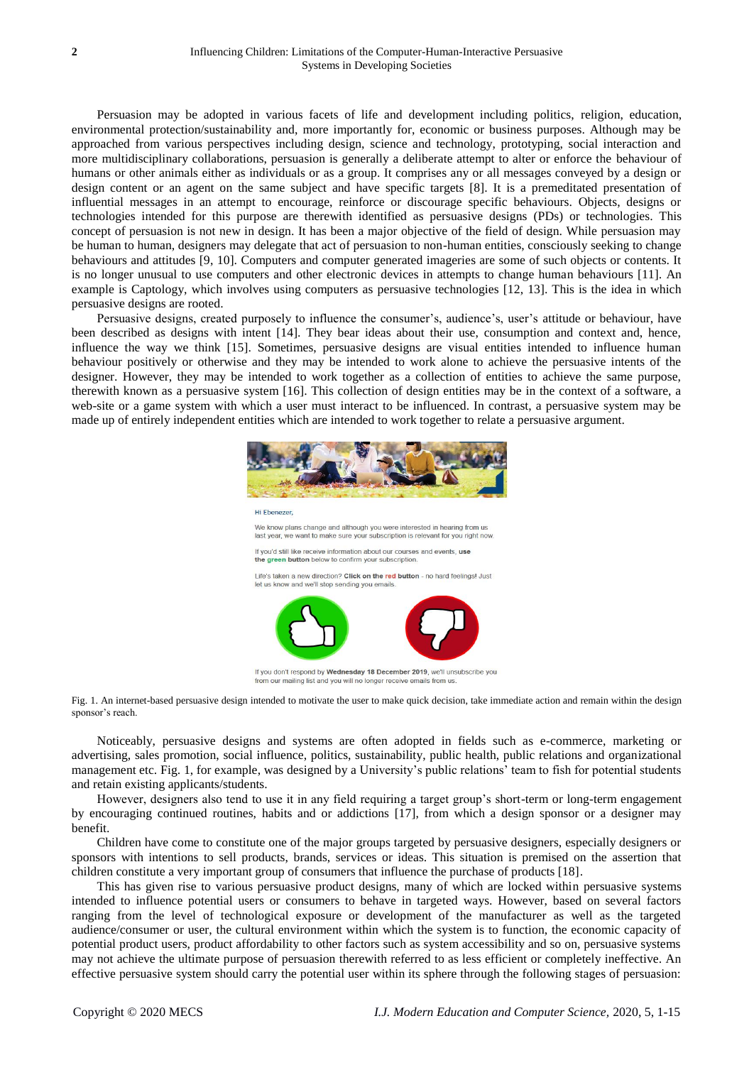Persuasion may be adopted in various facets of life and development including politics, religion, education, environmental protection/sustainability and, more importantly for, economic or business purposes. Although may be approached from various perspectives including design, science and technology, prototyping, social interaction and more multidisciplinary collaborations, persuasion is generally a deliberate attempt to alter or enforce the behaviour of humans or other animals either as individuals or as a group. It comprises any or all messages conveyed by a design or design content or an agent on the same subject and have specific targets [8]. It is a premeditated presentation of influential messages in an attempt to encourage, reinforce or discourage specific behaviours. Objects, designs or technologies intended for this purpose are therewith identified as persuasive designs (PDs) or technologies. This concept of persuasion is not new in design. It has been a major objective of the field of design. While persuasion may be human to human, designers may delegate that act of persuasion to non-human entities, consciously seeking to change behaviours and attitudes [9, 10]. Computers and computer generated imageries are some of such objects or contents. It is no longer unusual to use computers and other electronic devices in attempts to change human behaviours [11]. An example is Captology, which involves using computers as persuasive technologies [12, 13]. This is the idea in which persuasive designs are rooted.

Persuasive designs, created purposely to influence the consumer's, audience's, user's attitude or behaviour, have been described as designs with intent [14]. They bear ideas about their use, consumption and context and, hence, influence the way we think [15]. Sometimes, persuasive designs are visual entities intended to influence human behaviour positively or otherwise and they may be intended to work alone to achieve the persuasive intents of the designer. However, they may be intended to work together as a collection of entities to achieve the same purpose, therewith known as a persuasive system [16]. This collection of design entities may be in the context of a software, a web-site or a game system with which a user must interact to be influenced. In contrast, a persuasive system may be made up of entirely independent entities which are intended to work together to relate a persuasive argument.



from our mailing list and you will no longer receive emails from us

Fig. 1. An internet-based persuasive design intended to motivate the user to make quick decision, take immediate action and remain within the design sponsor's reach.

Noticeably, persuasive designs and systems are often adopted in fields such as e-commerce, marketing or advertising, sales promotion, social influence, politics, sustainability, public health, public relations and organizational management etc. Fig. 1, for example, was designed by a University's public relations' team to fish for potential students and retain existing applicants/students.

However, designers also tend to use it in any field requiring a target group's short-term or long-term engagement by encouraging continued routines, habits and or addictions [17], from which a design sponsor or a designer may benefit.

Children have come to constitute one of the major groups targeted by persuasive designers, especially designers or sponsors with intentions to sell products, brands, services or ideas. This situation is premised on the assertion that children constitute a very important group of consumers that influence the purchase of products [18].

This has given rise to various persuasive product designs, many of which are locked within persuasive systems intended to influence potential users or consumers to behave in targeted ways. However, based on several factors ranging from the level of technological exposure or development of the manufacturer as well as the targeted audience/consumer or user, the cultural environment within which the system is to function, the economic capacity of potential product users, product affordability to other factors such as system accessibility and so on, persuasive systems may not achieve the ultimate purpose of persuasion therewith referred to as less efficient or completely ineffective. An effective persuasive system should carry the potential user within its sphere through the following stages of persuasion: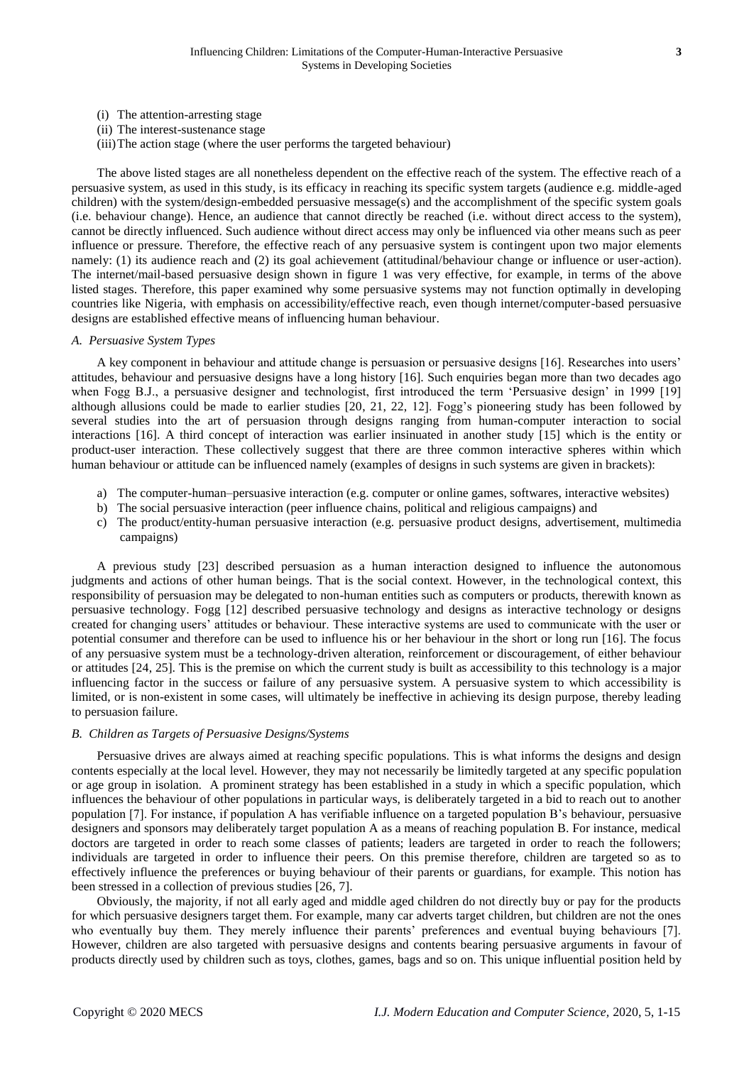- (i) The attention-arresting stage
- (ii) The interest-sustenance stage
- (iii)The action stage (where the user performs the targeted behaviour)

The above listed stages are all nonetheless dependent on the effective reach of the system. The effective reach of a persuasive system, as used in this study, is its efficacy in reaching its specific system targets (audience e.g. middle-aged children) with the system/design-embedded persuasive message(s) and the accomplishment of the specific system goals (i.e. behaviour change). Hence, an audience that cannot directly be reached (i.e. without direct access to the system), cannot be directly influenced. Such audience without direct access may only be influenced via other means such as peer influence or pressure. Therefore, the effective reach of any persuasive system is contingent upon two major elements namely: (1) its audience reach and (2) its goal achievement (attitudinal/behaviour change or influence or user-action). The internet/mail-based persuasive design shown in figure 1 was very effective, for example, in terms of the above listed stages. Therefore, this paper examined why some persuasive systems may not function optimally in developing countries like Nigeria, with emphasis on accessibility/effective reach, even though internet/computer-based persuasive designs are established effective means of influencing human behaviour.

#### *A. Persuasive System Types*

A key component in behaviour and attitude change is persuasion or persuasive designs [16]. Researches into users' attitudes, behaviour and persuasive designs have a long history [16]. Such enquiries began more than two decades ago when Fogg B.J., a persuasive designer and technologist, first introduced the term 'Persuasive design' in 1999 [19] although allusions could be made to earlier studies [20, 21, 22, 12]. Fogg's pioneering study has been followed by several studies into the art of persuasion through designs ranging from human-computer interaction to social interactions [16]. A third concept of interaction was earlier insinuated in another study [15] which is the entity or product-user interaction. These collectively suggest that there are three common interactive spheres within which human behaviour or attitude can be influenced namely (examples of designs in such systems are given in brackets):

- a) The computer-human–persuasive interaction (e.g. computer or online games, softwares, interactive websites)
- b) The social persuasive interaction (peer influence chains, political and religious campaigns) and
- c) The product/entity-human persuasive interaction (e.g. persuasive product designs, advertisement, multimedia campaigns)

A previous study [23] described persuasion as a human interaction designed to influence the autonomous judgments and actions of other human beings. That is the social context. However, in the technological context, this responsibility of persuasion may be delegated to non-human entities such as computers or products, therewith known as persuasive technology. Fogg [12] described persuasive technology and designs as interactive technology or designs created for changing users' attitudes or behaviour. These interactive systems are used to communicate with the user or potential consumer and therefore can be used to influence his or her behaviour in the short or long run [16]. The focus of any persuasive system must be a technology-driven alteration, reinforcement or discouragement, of either behaviour or attitudes [24, 25]. This is the premise on which the current study is built as accessibility to this technology is a major influencing factor in the success or failure of any persuasive system. A persuasive system to which accessibility is limited, or is non-existent in some cases, will ultimately be ineffective in achieving its design purpose, thereby leading to persuasion failure.

#### *B. Children as Targets of Persuasive Designs/Systems*

Persuasive drives are always aimed at reaching specific populations. This is what informs the designs and design contents especially at the local level. However, they may not necessarily be limitedly targeted at any specific population or age group in isolation. A prominent strategy has been established in a study in which a specific population, which influences the behaviour of other populations in particular ways, is deliberately targeted in a bid to reach out to another population [7]. For instance, if population A has verifiable influence on a targeted population B's behaviour, persuasive designers and sponsors may deliberately target population A as a means of reaching population B. For instance, medical doctors are targeted in order to reach some classes of patients; leaders are targeted in order to reach the followers; individuals are targeted in order to influence their peers. On this premise therefore, children are targeted so as to effectively influence the preferences or buying behaviour of their parents or guardians, for example. This notion has been stressed in a collection of previous studies [26, 7].

Obviously, the majority, if not all early aged and middle aged children do not directly buy or pay for the products for which persuasive designers target them. For example, many car adverts target children, but children are not the ones who eventually buy them. They merely influence their parents' preferences and eventual buying behaviours [7]. However, children are also targeted with persuasive designs and contents bearing persuasive arguments in favour of products directly used by children such as toys, clothes, games, bags and so on. This unique influential position held by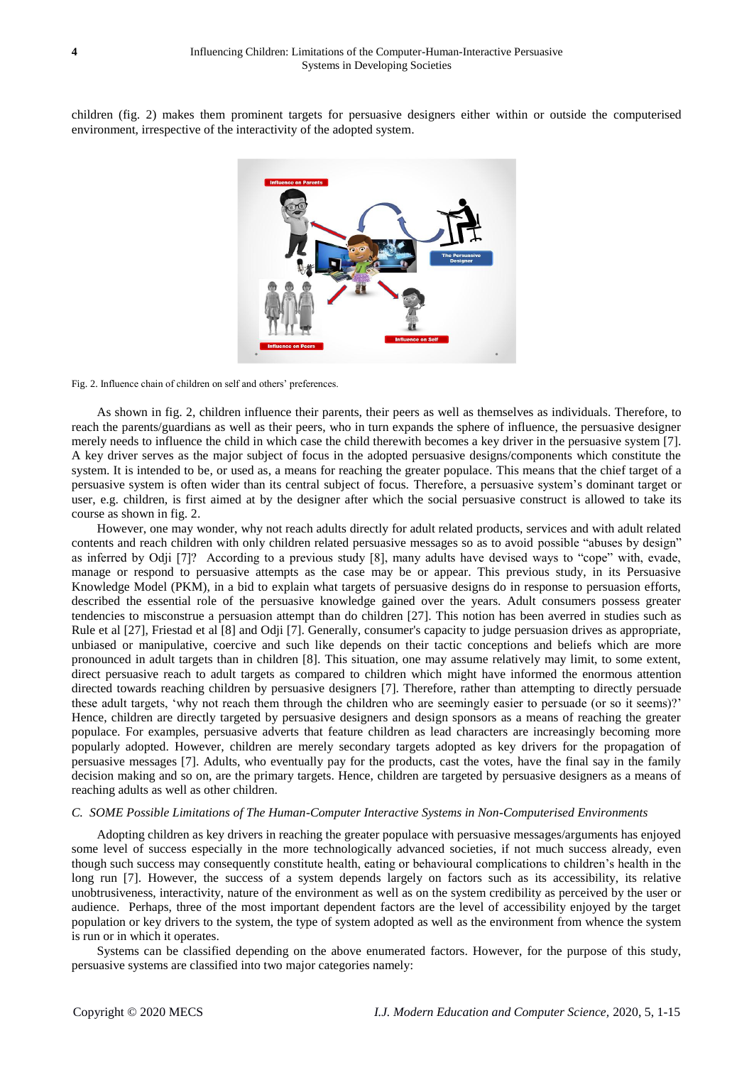children (fig. 2) makes them prominent targets for persuasive designers either within or outside the computerised environment, irrespective of the interactivity of the adopted system.



Fig. 2. Influence chain of children on self and others' preferences.

As shown in fig. 2, children influence their parents, their peers as well as themselves as individuals. Therefore, to reach the parents/guardians as well as their peers, who in turn expands the sphere of influence, the persuasive designer merely needs to influence the child in which case the child therewith becomes a key driver in the persuasive system [7]. A key driver serves as the major subject of focus in the adopted persuasive designs/components which constitute the system. It is intended to be, or used as, a means for reaching the greater populace. This means that the chief target of a persuasive system is often wider than its central subject of focus. Therefore, a persuasive system's dominant target or user, e.g. children, is first aimed at by the designer after which the social persuasive construct is allowed to take its course as shown in fig. 2.

However, one may wonder, why not reach adults directly for adult related products, services and with adult related contents and reach children with only children related persuasive messages so as to avoid possible "abuses by design" as inferred by Odji [7]? According to a previous study [8], many adults have devised ways to "cope" with, evade, manage or respond to persuasive attempts as the case may be or appear. This previous study, in its Persuasive Knowledge Model (PKM), in a bid to explain what targets of persuasive designs do in response to persuasion efforts, described the essential role of the persuasive knowledge gained over the years. Adult consumers possess greater tendencies to misconstrue a persuasion attempt than do children [27]. This notion has been averred in studies such as Rule et al [27], Friestad et al [8] and Odji [7]. Generally, consumer's capacity to judge persuasion drives as appropriate, unbiased or manipulative, coercive and such like depends on their tactic conceptions and beliefs which are more pronounced in adult targets than in children [8]. This situation, one may assume relatively may limit, to some extent, direct persuasive reach to adult targets as compared to children which might have informed the enormous attention directed towards reaching children by persuasive designers [7]. Therefore, rather than attempting to directly persuade these adult targets, 'why not reach them through the children who are seemingly easier to persuade (or so it seems)?' Hence, children are directly targeted by persuasive designers and design sponsors as a means of reaching the greater populace. For examples, persuasive adverts that feature children as lead characters are increasingly becoming more popularly adopted. However, children are merely secondary targets adopted as key drivers for the propagation of persuasive messages [7]. Adults, who eventually pay for the products, cast the votes, have the final say in the family decision making and so on, are the primary targets. Hence, children are targeted by persuasive designers as a means of reaching adults as well as other children.

#### *C. SOME Possible Limitations of The Human-Computer Interactive Systems in Non-Computerised Environments*

Adopting children as key drivers in reaching the greater populace with persuasive messages/arguments has enjoyed some level of success especially in the more technologically advanced societies, if not much success already, even though such success may consequently constitute health, eating or behavioural complications to children's health in the long run [7]. However, the success of a system depends largely on factors such as its accessibility, its relative unobtrusiveness, interactivity, nature of the environment as well as on the system credibility as perceived by the user or audience. Perhaps, three of the most important dependent factors are the level of accessibility enjoyed by the target population or key drivers to the system, the type of system adopted as well as the environment from whence the system is run or in which it operates.

Systems can be classified depending on the above enumerated factors. However, for the purpose of this study, persuasive systems are classified into two major categories namely: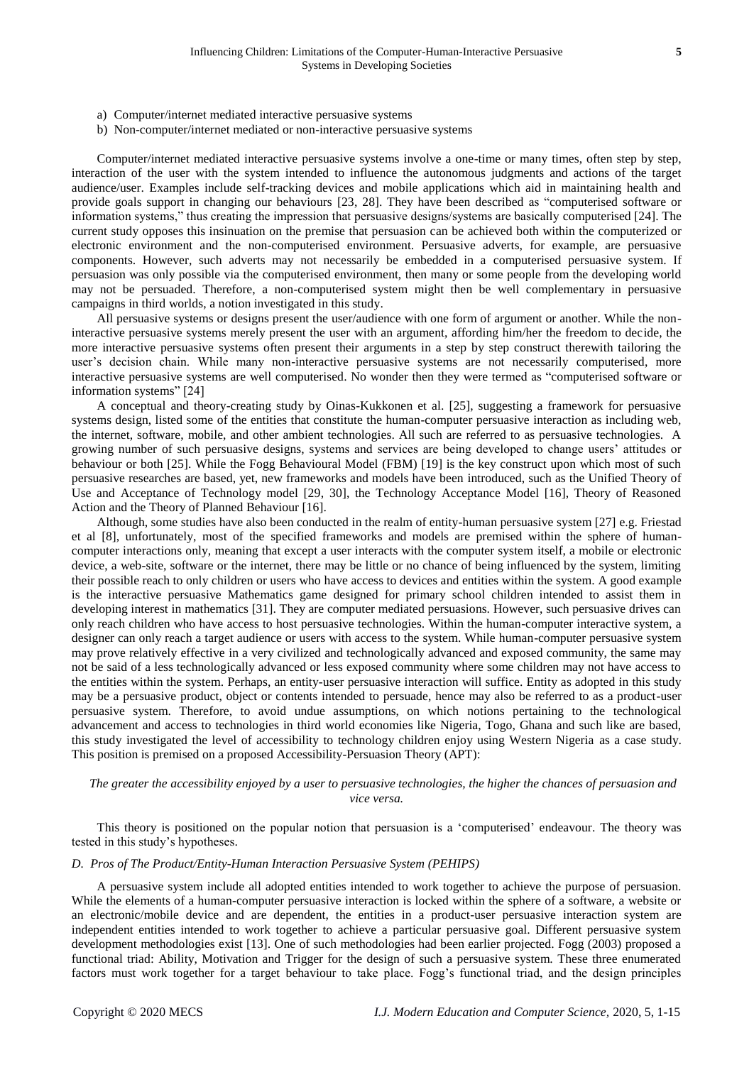- a) Computer/internet mediated interactive persuasive systems
- b) Non-computer/internet mediated or non-interactive persuasive systems

Computer/internet mediated interactive persuasive systems involve a one-time or many times, often step by step, interaction of the user with the system intended to influence the autonomous judgments and actions of the target audience/user. Examples include self-tracking devices and mobile applications which aid in maintaining health and provide goals support in changing our behaviours [23, 28]. They have been described as "computerised software or information systems," thus creating the impression that persuasive designs/systems are basically computerised [24]. The current study opposes this insinuation on the premise that persuasion can be achieved both within the computerized or electronic environment and the non-computerised environment. Persuasive adverts, for example, are persuasive components. However, such adverts may not necessarily be embedded in a computerised persuasive system. If persuasion was only possible via the computerised environment, then many or some people from the developing world may not be persuaded. Therefore, a non-computerised system might then be well complementary in persuasive campaigns in third worlds, a notion investigated in this study.

All persuasive systems or designs present the user/audience with one form of argument or another. While the noninteractive persuasive systems merely present the user with an argument, affording him/her the freedom to decide, the more interactive persuasive systems often present their arguments in a step by step construct therewith tailoring the user's decision chain. While many non-interactive persuasive systems are not necessarily computerised, more interactive persuasive systems are well computerised. No wonder then they were termed as "computerised software or information systems" [24]

A conceptual and theory-creating study by Oinas-Kukkonen et al. [25], suggesting a framework for persuasive systems design, listed some of the entities that constitute the human-computer persuasive interaction as including web, the internet, software, mobile, and other ambient technologies. All such are referred to as persuasive technologies. A growing number of such persuasive designs, systems and services are being developed to change users' attitudes or behaviour or both [25]. While the Fogg Behavioural Model (FBM) [19] is the key construct upon which most of such persuasive researches are based, yet, new frameworks and models have been introduced, such as the Unified Theory of Use and Acceptance of Technology model [29, 30], the Technology Acceptance Model [16], Theory of Reasoned Action and the Theory of Planned Behaviour [16].

Although, some studies have also been conducted in the realm of entity-human persuasive system [27] e.g. Friestad et al [8], unfortunately, most of the specified frameworks and models are premised within the sphere of humancomputer interactions only, meaning that except a user interacts with the computer system itself, a mobile or electronic device, a web-site, software or the internet, there may be little or no chance of being influenced by the system, limiting their possible reach to only children or users who have access to devices and entities within the system. A good example is the interactive persuasive Mathematics game designed for primary school children intended to assist them in developing interest in mathematics [31]. They are computer mediated persuasions. However, such persuasive drives can only reach children who have access to host persuasive technologies. Within the human-computer interactive system, a designer can only reach a target audience or users with access to the system. While human-computer persuasive system may prove relatively effective in a very civilized and technologically advanced and exposed community, the same may not be said of a less technologically advanced or less exposed community where some children may not have access to the entities within the system. Perhaps, an entity-user persuasive interaction will suffice. Entity as adopted in this study may be a persuasive product, object or contents intended to persuade, hence may also be referred to as a product-user persuasive system. Therefore, to avoid undue assumptions, on which notions pertaining to the technological advancement and access to technologies in third world economies like Nigeria, Togo, Ghana and such like are based, this study investigated the level of accessibility to technology children enjoy using Western Nigeria as a case study. This position is premised on a proposed Accessibility-Persuasion Theory (APT):

## *The greater the accessibility enjoyed by a user to persuasive technologies, the higher the chances of persuasion and vice versa.*

This theory is positioned on the popular notion that persuasion is a 'computerised' endeavour. The theory was tested in this study's hypotheses.

#### *D. Pros of The Product/Entity-Human Interaction Persuasive System (PEHIPS)*

A persuasive system include all adopted entities intended to work together to achieve the purpose of persuasion. While the elements of a human-computer persuasive interaction is locked within the sphere of a software, a website or an electronic/mobile device and are dependent, the entities in a product-user persuasive interaction system are independent entities intended to work together to achieve a particular persuasive goal. Different persuasive system development methodologies exist [13]. One of such methodologies had been earlier projected. Fogg (2003) proposed a functional triad: Ability, Motivation and Trigger for the design of such a persuasive system. These three enumerated factors must work together for a target behaviour to take place. Fogg's functional triad, and the design principles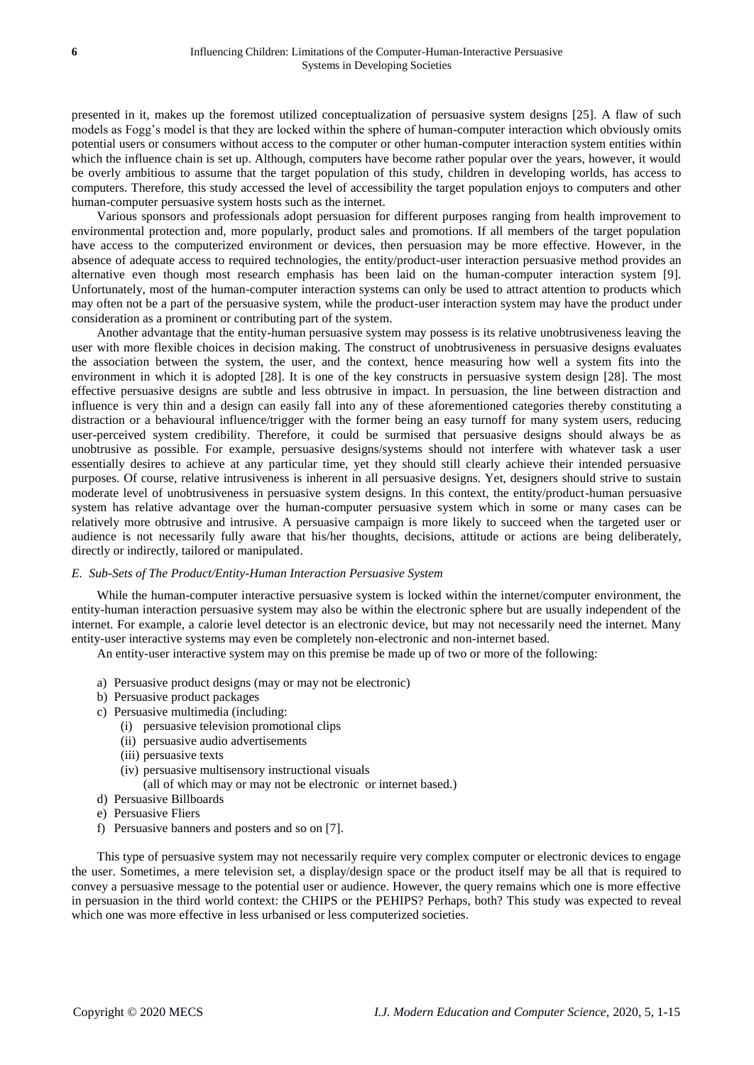presented in it, makes up the foremost utilized conceptualization of persuasive system designs [25]. A flaw of such models as Fogg's model is that they are locked within the sphere of human-computer interaction which obviously omits potential users or consumers without access to the computer or other human-computer interaction system entities within which the influence chain is set up. Although, computers have become rather popular over the years, however, it would be overly ambitious to assume that the target population of this study, children in developing worlds, has access to computers. Therefore, this study accessed the level of accessibility the target population enjoys to computers and other human-computer persuasive system hosts such as the internet.

Various sponsors and professionals adopt persuasion for different purposes ranging from health improvement to environmental protection and, more popularly, product sales and promotions. If all members of the target population have access to the computerized environment or devices, then persuasion may be more effective. However, in the absence of adequate access to required technologies, the entity/product-user interaction persuasive method provides an alternative even though most research emphasis has been laid on the human-computer interaction system [9]. Unfortunately, most of the human-computer interaction systems can only be used to attract attention to products which may often not be a part of the persuasive system, while the product-user interaction system may have the product under consideration as a prominent or contributing part of the system.

Another advantage that the entity-human persuasive system may possess is its relative unobtrusiveness leaving the user with more flexible choices in decision making. The construct of unobtrusiveness in persuasive designs evaluates the association between the system, the user, and the context, hence measuring how well a system fits into the environment in which it is adopted [28]. It is one of the key constructs in persuasive system design [28]. The most effective persuasive designs are subtle and less obtrusive in impact. In persuasion, the line between distraction and influence is very thin and a design can easily fall into any of these aforementioned categories thereby constituting a distraction or a behavioural influence/trigger with the former being an easy turnoff for many system users, reducing user-perceived system credibility. Therefore, it could be surmised that persuasive designs should always be as unobtrusive as possible. For example, persuasive designs/systems should not interfere with whatever task a user essentially desires to achieve at any particular time, yet they should still clearly achieve their intended persuasive purposes. Of course, relative intrusiveness is inherent in all persuasive designs. Yet, designers should strive to sustain moderate level of unobtrusiveness in persuasive system designs. In this context, the entity/product-human persuasive system has relative advantage over the human-computer persuasive system which in some or many cases can be relatively more obtrusive and intrusive. A persuasive campaign is more likely to succeed when the targeted user or audience is not necessarily fully aware that his/her thoughts, decisions, attitude or actions are being deliberately, directly or indirectly, tailored or manipulated.

#### *E. Sub-Sets of The Product/Entity-Human Interaction Persuasive System*

While the human-computer interactive persuasive system is locked within the internet/computer environment, the entity-human interaction persuasive system may also be within the electronic sphere but are usually independent of the internet. For example, a calorie level detector is an electronic device, but may not necessarily need the internet. Many entity-user interactive systems may even be completely non-electronic and non-internet based.

An entity-user interactive system may on this premise be made up of two or more of the following:

- a) Persuasive product designs (may or may not be electronic)
- b) Persuasive product packages
- c) Persuasive multimedia (including:
	- (i) persuasive television promotional clips
	- (ii) persuasive audio advertisements
	- (iii) persuasive texts
	- (iv) persuasive multisensory instructional visuals

(all of which may or may not be electronic or internet based.)

- d) Persuasive Billboards
- e) Persuasive Fliers
- f) Persuasive banners and posters and so on [7].

This type of persuasive system may not necessarily require very complex computer or electronic devices to engage the user. Sometimes, a mere television set, a display/design space or the product itself may be all that is required to convey a persuasive message to the potential user or audience. However, the query remains which one is more effective in persuasion in the third world context: the CHIPS or the PEHIPS? Perhaps, both? This study was expected to reveal which one was more effective in less urbanised or less computerized societies.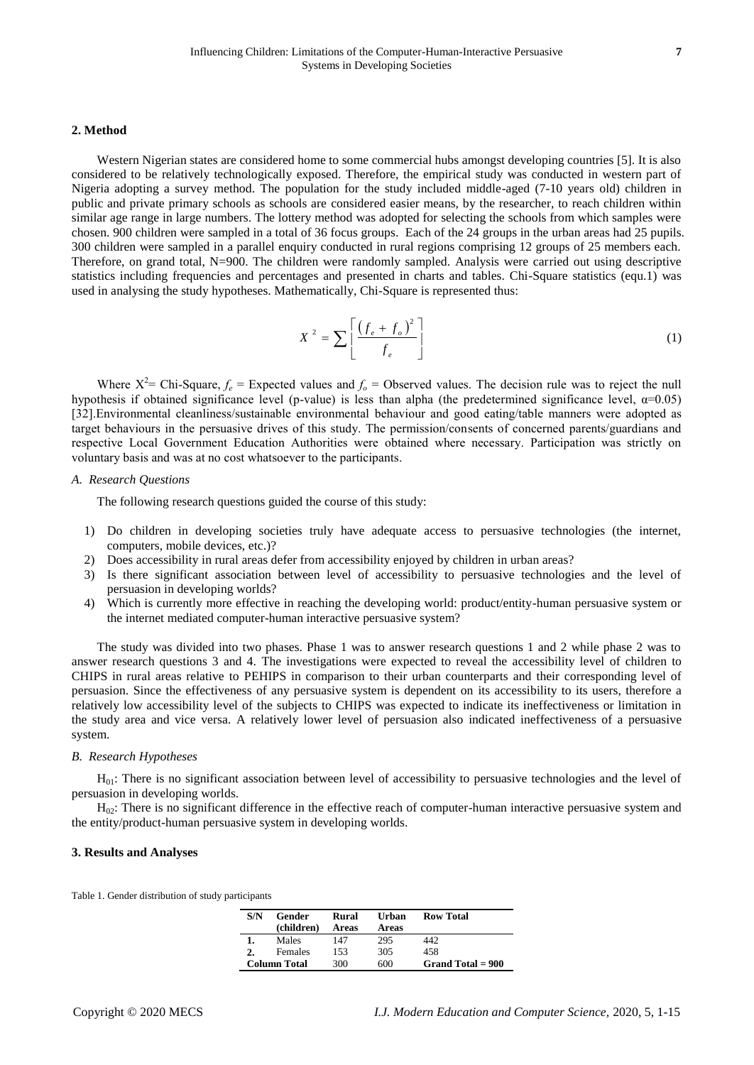#### **2. Method**

Western Nigerian states are considered home to some commercial hubs amongst developing countries [5]. It is also considered to be relatively technologically exposed. Therefore, the empirical study was conducted in western part of Nigeria adopting a survey method. The population for the study included middle-aged (7-10 years old) children in public and private primary schools as schools are considered easier means, by the researcher, to reach children within similar age range in large numbers. The lottery method was adopted for selecting the schools from which samples were chosen. 900 children were sampled in a total of 36 focus groups. Each of the 24 groups in the urban areas had 25 pupils. 300 children were sampled in a parallel enquiry conducted in rural regions comprising 12 groups of 25 members each. Therefore, on grand total, N=900. The children were randomly sampled. Analysis were carried out using descriptive statistics including frequencies and percentages and presented in charts and tables. Chi-Square statistics (equ.1) was used in analysing the study hypotheses. Mathematically, Chi-Square is represented thus:

$$
X^2 = \sum \left[ \frac{\left(f_e + f_o\right)^2}{f_e} \right] \tag{1}
$$

Where  $X^2$ = Chi-Square,  $f_e$  = Expected values and  $f_o$  = Observed values. The decision rule was to reject the null hypothesis if obtained significance level (p-value) is less than alpha (the predetermined significance level,  $\alpha$ =0.05) [32].Environmental cleanliness/sustainable environmental behaviour and good eating/table manners were adopted as target behaviours in the persuasive drives of this study. The permission/consents of concerned parents/guardians and respective Local Government Education Authorities were obtained where necessary. Participation was strictly on voluntary basis and was at no cost whatsoever to the participants.

#### *A. Research Questions*

The following research questions guided the course of this study:

- 1) Do children in developing societies truly have adequate access to persuasive technologies (the internet, computers, mobile devices, etc.)?
- 2) Does accessibility in rural areas defer from accessibility enjoyed by children in urban areas?
- 3) Is there significant association between level of accessibility to persuasive technologies and the level of persuasion in developing worlds?
- 4) Which is currently more effective in reaching the developing world: product/entity-human persuasive system or the internet mediated computer-human interactive persuasive system?

The study was divided into two phases. Phase 1 was to answer research questions 1 and 2 while phase 2 was to answer research questions 3 and 4. The investigations were expected to reveal the accessibility level of children to CHIPS in rural areas relative to PEHIPS in comparison to their urban counterparts and their corresponding level of persuasion. Since the effectiveness of any persuasive system is dependent on its accessibility to its users, therefore a relatively low accessibility level of the subjects to CHIPS was expected to indicate its ineffectiveness or limitation in the study area and vice versa. A relatively lower level of persuasion also indicated ineffectiveness of a persuasive system.

### *B. Research Hypotheses*

H01: There is no significant association between level of accessibility to persuasive technologies and the level of persuasion in developing worlds.

 $H<sub>02</sub>$ : There is no significant difference in the effective reach of computer-human interactive persuasive system and the entity/product-human persuasive system in developing worlds.

#### **3. Results and Analyses**

Table 1. Gender distribution of study participants

| S/N<br>Gender<br>(children) |         | Rural<br>Areas | Urban<br>Areas | <b>Row Total</b>    |
|-----------------------------|---------|----------------|----------------|---------------------|
|                             | Males   | 147            | 295            | 442.                |
| 2.                          | Females | 153            | 305            | 458                 |
| <b>Column</b> Total         |         | 300            | 600            | Grand Total $= 900$ |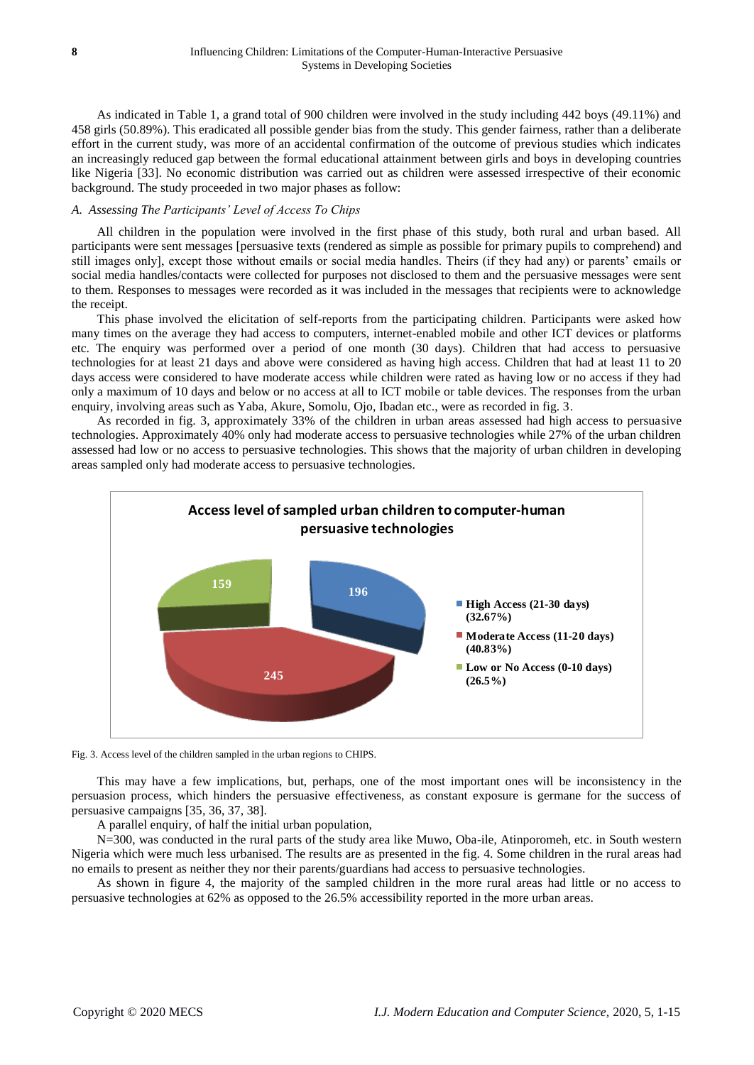As indicated in Table 1, a grand total of 900 children were involved in the study including 442 boys (49.11%) and 458 girls (50.89%). This eradicated all possible gender bias from the study. This gender fairness, rather than a deliberate effort in the current study, was more of an accidental confirmation of the outcome of previous studies which indicates an increasingly reduced gap between the formal educational attainment between girls and boys in developing countries like Nigeria [33]. No economic distribution was carried out as children were assessed irrespective of their economic background. The study proceeded in two major phases as follow:

### *A. Assessing The Participants' Level of Access To Chips*

All children in the population were involved in the first phase of this study, both rural and urban based. All participants were sent messages [persuasive texts (rendered as simple as possible for primary pupils to comprehend) and still images only], except those without emails or social media handles. Theirs (if they had any) or parents' emails or social media handles/contacts were collected for purposes not disclosed to them and the persuasive messages were sent to them. Responses to messages were recorded as it was included in the messages that recipients were to acknowledge the receipt.

This phase involved the elicitation of self-reports from the participating children. Participants were asked how many times on the average they had access to computers, internet-enabled mobile and other ICT devices or platforms etc. The enquiry was performed over a period of one month (30 days). Children that had access to persuasive technologies for at least 21 days and above were considered as having high access. Children that had at least 11 to 20 days access were considered to have moderate access while children were rated as having low or no access if they had only a maximum of 10 days and below or no access at all to ICT mobile or table devices. The responses from the urban enquiry, involving areas such as Yaba, Akure, Somolu, Ojo, Ibadan etc., were as recorded in fig. 3.

As recorded in fig. 3, approximately 33% of the children in urban areas assessed had high access to persuasive technologies. Approximately 40% only had moderate access to persuasive technologies while 27% of the urban children assessed had low or no access to persuasive technologies. This shows that the majority of urban children in developing areas sampled only had moderate access to persuasive technologies.





This may have a few implications, but, perhaps, one of the most important ones will be inconsistency in the persuasion process, which hinders the persuasive effectiveness, as constant exposure is germane for the success of persuasive campaigns [35, 36, 37, 38].

A parallel enquiry, of half the initial urban population,

N=300, was conducted in the rural parts of the study area like Muwo, Oba-ile, Atinporomeh, etc. in South western Nigeria which were much less urbanised. The results are as presented in the fig. 4. Some children in the rural areas had no emails to present as neither they nor their parents/guardians had access to persuasive technologies.

As shown in figure 4, the majority of the sampled children in the more rural areas had little or no access to persuasive technologies at 62% as opposed to the 26.5% accessibility reported in the more urban areas.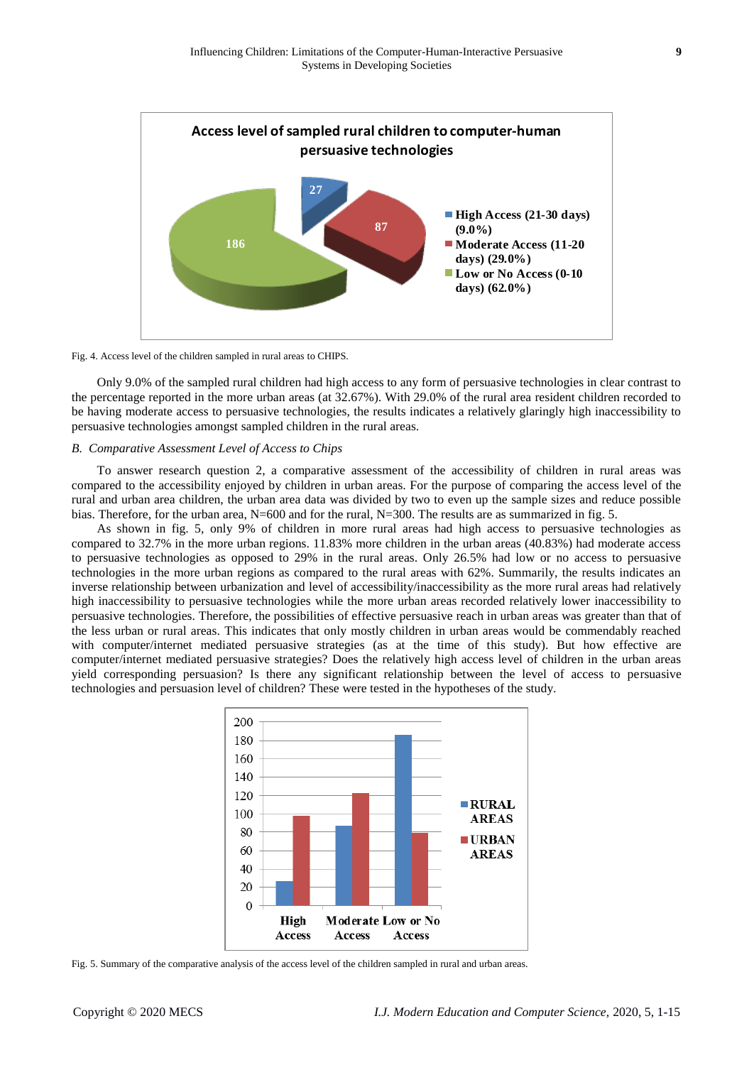

Fig. 4. Access level of the children sampled in rural areas to CHIPS.

Only 9.0% of the sampled rural children had high access to any form of persuasive technologies in clear contrast to the percentage reported in the more urban areas (at 32.67%). With 29.0% of the rural area resident children recorded to be having moderate access to persuasive technologies, the results indicates a relatively glaringly high inaccessibility to persuasive technologies amongst sampled children in the rural areas.

# *B. Comparative Assessment Level of Access to Chips*

To answer research question 2, a comparative assessment of the accessibility of children in rural areas was compared to the accessibility enjoyed by children in urban areas. For the purpose of comparing the access level of the rural and urban area children, the urban area data was divided by two to even up the sample sizes and reduce possible bias. Therefore, for the urban area, N=600 and for the rural, N=300. The results are as summarized in fig. 5.

As shown in fig. 5, only 9% of children in more rural areas had high access to persuasive technologies as compared to 32.7% in the more urban regions. 11.83% more children in the urban areas (40.83%) had moderate access to persuasive technologies as opposed to 29% in the rural areas. Only 26.5% had low or no access to persuasive technologies in the more urban regions as compared to the rural areas with 62%. Summarily, the results indicates an inverse relationship between urbanization and level of accessibility/inaccessibility as the more rural areas had relatively high inaccessibility to persuasive technologies while the more urban areas recorded relatively lower inaccessibility to persuasive technologies. Therefore, the possibilities of effective persuasive reach in urban areas was greater than that of the less urban or rural areas. This indicates that only mostly children in urban areas would be commendably reached with computer/internet mediated persuasive strategies (as at the time of this study). But how effective are computer/internet mediated persuasive strategies? Does the relatively high access level of children in the urban areas yield corresponding persuasion? Is there any significant relationship between the level of access to persuasive technologies and persuasion level of children? These were tested in the hypotheses of the study.



Fig. 5. Summary of the comparative analysis of the access level of the children sampled in rural and urban areas.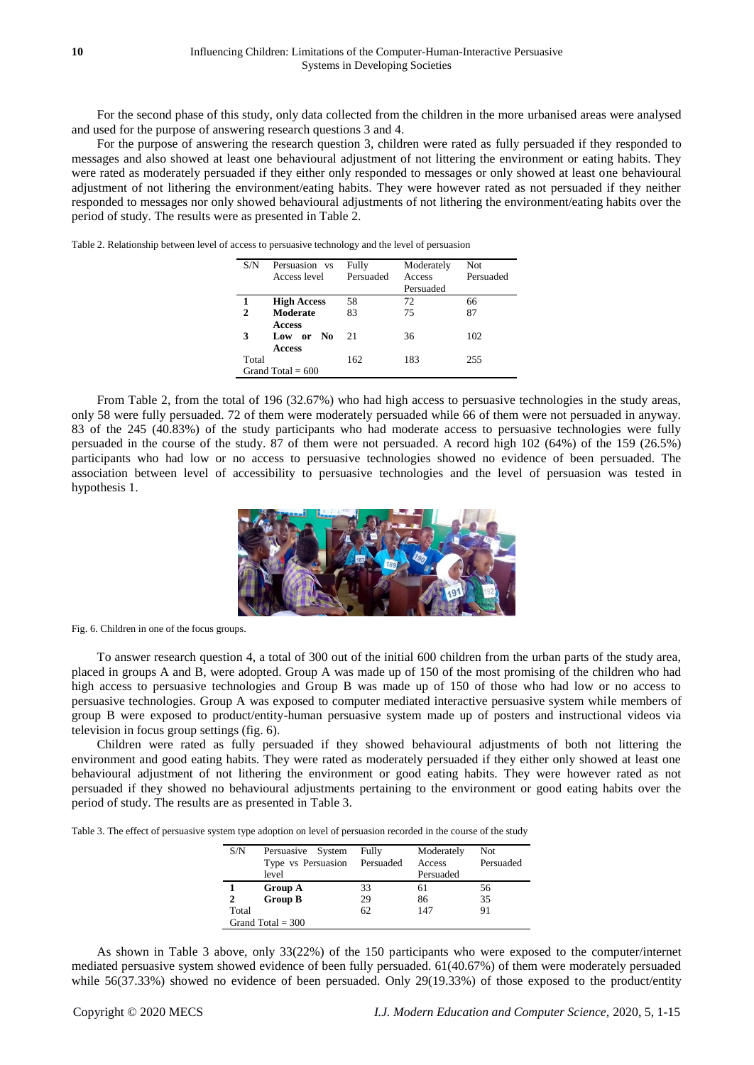For the second phase of this study, only data collected from the children in the more urbanised areas were analysed and used for the purpose of answering research questions 3 and 4.

For the purpose of answering the research question 3, children were rated as fully persuaded if they responded to messages and also showed at least one behavioural adjustment of not littering the environment or eating habits. They were rated as moderately persuaded if they either only responded to messages or only showed at least one behavioural adjustment of not lithering the environment/eating habits. They were however rated as not persuaded if they neither responded to messages nor only showed behavioural adjustments of not lithering the environment/eating habits over the period of study. The results were as presented in Table 2.

Table 2. Relationship between level of access to persuasive technology and the level of persuasion

| S/N   | Persuasion vs<br>Access level | Fully<br>Persuaded | Moderately<br>Access<br>Persuaded | <b>Not</b><br>Persuaded |
|-------|-------------------------------|--------------------|-----------------------------------|-------------------------|
|       | <b>High Access</b>            | 58                 | 72                                | 66                      |
| 2     | Moderate                      | 83                 | 75                                | 87                      |
|       | <b>Access</b>                 |                    |                                   |                         |
| 3     | No<br>Low or                  | 21                 | 36                                | 102                     |
|       | <b>Access</b>                 |                    |                                   |                         |
| Total |                               | 162                | 183                               | 255                     |
|       | Grand Total = $600$           |                    |                                   |                         |

From Table 2, from the total of 196 (32.67%) who had high access to persuasive technologies in the study areas, only 58 were fully persuaded. 72 of them were moderately persuaded while 66 of them were not persuaded in anyway. 83 of the 245 (40.83%) of the study participants who had moderate access to persuasive technologies were fully persuaded in the course of the study. 87 of them were not persuaded. A record high 102 (64%) of the 159 (26.5%) participants who had low or no access to persuasive technologies showed no evidence of been persuaded. The association between level of accessibility to persuasive technologies and the level of persuasion was tested in hypothesis 1.



Fig. 6. Children in one of the focus groups.

To answer research question 4, a total of 300 out of the initial 600 children from the urban parts of the study area, placed in groups A and B, were adopted. Group A was made up of 150 of the most promising of the children who had high access to persuasive technologies and Group B was made up of 150 of those who had low or no access to persuasive technologies. Group A was exposed to computer mediated interactive persuasive system while members of group B were exposed to product/entity-human persuasive system made up of posters and instructional videos via television in focus group settings (fig. 6).

Children were rated as fully persuaded if they showed behavioural adjustments of both not littering the environment and good eating habits. They were rated as moderately persuaded if they either only showed at least one behavioural adjustment of not lithering the environment or good eating habits. They were however rated as not persuaded if they showed no behavioural adjustments pertaining to the environment or good eating habits over the period of study. The results are as presented in Table 3.

Table 3. The effect of persuasive system type adoption on level of persuasion recorded in the course of the study

| S/N                 | Persuasive System<br>Type vs Persuasion Persuaded<br>level | Fully | Moderately<br>Access<br>Persuaded | Not<br>Persuaded |  |
|---------------------|------------------------------------------------------------|-------|-----------------------------------|------------------|--|
|                     | <b>Group A</b>                                             | 33    | 61                                | 56               |  |
|                     | <b>Group B</b>                                             | 29    | 86                                | 35               |  |
| Total               |                                                            | 62    | 147                               | 91               |  |
| Grand Total $=$ 300 |                                                            |       |                                   |                  |  |

As shown in Table 3 above, only 33(22%) of the 150 participants who were exposed to the computer/internet mediated persuasive system showed evidence of been fully persuaded. 61(40.67%) of them were moderately persuaded while 56(37.33%) showed no evidence of been persuaded. Only 29(19.33%) of those exposed to the product/entity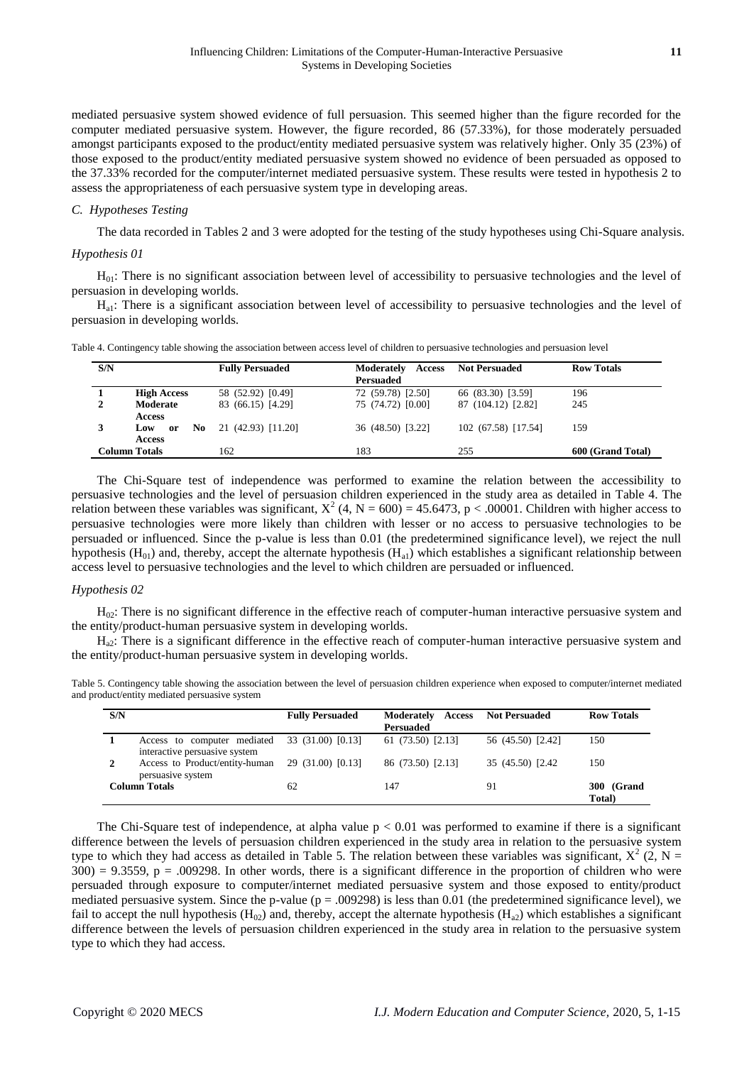mediated persuasive system showed evidence of full persuasion. This seemed higher than the figure recorded for the computer mediated persuasive system. However, the figure recorded, 86 (57.33%), for those moderately persuaded amongst participants exposed to the product/entity mediated persuasive system was relatively higher. Only 35 (23%) of those exposed to the product/entity mediated persuasive system showed no evidence of been persuaded as opposed to the 37.33% recorded for the computer/internet mediated persuasive system. These results were tested in hypothesis 2 to assess the appropriateness of each persuasive system type in developing areas.

## *C. Hypotheses Testing*

The data recorded in Tables 2 and 3 were adopted for the testing of the study hypotheses using Chi-Square analysis.

### *Hypothesis 01*

 $H<sub>01</sub>$ : There is no significant association between level of accessibility to persuasive technologies and the level of persuasion in developing worlds.

Ha1: There is a significant association between level of accessibility to persuasive technologies and the level of persuasion in developing worlds.

|  | Table 4. Contingency table showing the association between access level of children to persuasive technologies and persuasion level |  |  |  |  |
|--|-------------------------------------------------------------------------------------------------------------------------------------|--|--|--|--|
|  |                                                                                                                                     |  |  |  |  |
|  |                                                                                                                                     |  |  |  |  |
|  |                                                                                                                                     |  |  |  |  |

| S/N |                                   | <b>Fully Persuaded</b> | Moderately<br>Access<br><b>Persuaded</b> | <b>Not Persuaded</b> | <b>Row Totals</b> |
|-----|-----------------------------------|------------------------|------------------------------------------|----------------------|-------------------|
|     | <b>High Access</b>                | 58 (52.92) [0.49]      | 72 (59.78) [2.50]                        | 66 (83.30) [3.59]    | 196               |
|     | Moderate<br><b>Access</b>         | 83 (66.15) [4.29]      | 75 (74.72) [0.00]                        | 87 (104.12) [2.82]   | 245               |
|     | No.<br>Low<br>or<br><b>Access</b> | 21 (42.93) [11.20]     | 36 (48.50) [3.22]                        | 102 (67.58) [17.54]  | 159               |
|     | <b>Column Totals</b>              | 162                    | 183                                      | 255                  | 600 (Grand Total) |

The Chi-Square test of independence was performed to examine the relation between the accessibility to persuasive technologies and the level of persuasion children experienced in the study area as detailed in Table 4. The relation between these variables was significant,  $X^2$  (4, N = 600) = 45.6473, p < .00001. Children with higher access to persuasive technologies were more likely than children with lesser or no access to persuasive technologies to be persuaded or influenced. Since the p-value is less than 0.01 (the predetermined significance level), we reject the null hypothesis  $(H_{01})$  and, thereby, accept the alternate hypothesis  $(H_{a1})$  which establishes a significant relationship between access level to persuasive technologies and the level to which children are persuaded or influenced.

#### *Hypothesis 02*

 $H<sub>02</sub>$ : There is no significant difference in the effective reach of computer-human interactive persuasive system and the entity/product-human persuasive system in developing worlds.

Ha2: There is a significant difference in the effective reach of computer-human interactive persuasive system and the entity/product-human persuasive system in developing worlds.

| Table 5. Contingency table showing the association between the level of persuasion children experience when exposed to computer/internet mediated |  |
|---------------------------------------------------------------------------------------------------------------------------------------------------|--|
| and product/entity mediated persuasive system                                                                                                     |  |

| S/N |                                                              | <b>Fully Persuaded</b> | <b>Access</b><br>Moderately<br><b>Persuaded</b> | <b>Not Persuaded</b> | <b>Row Totals</b>    |
|-----|--------------------------------------------------------------|------------------------|-------------------------------------------------|----------------------|----------------------|
|     | Access to computer mediated<br>interactive persuasive system | 33 (31.00) [0.13]      | 61(73.50)[2.13]                                 | 56 (45.50) [2.42]    | 150                  |
|     | Access to Product/entity-human<br>persuasive system          | 29 (31.00) [0.13]      | 86 (73.50) [2.13]                               | 35 (45.50) [2.42]    | 150                  |
|     | <b>Column Totals</b>                                         | 62                     | 147                                             | 91                   | 300 (Grand<br>Total) |

The Chi-Square test of independence, at alpha value  $p < 0.01$  was performed to examine if there is a significant difference between the levels of persuasion children experienced in the study area in relation to the persuasive system type to which they had access as detailed in Table 5. The relation between these variables was significant,  $X^2$  (2, N =  $300$  = 9.3559, p = .009298. In other words, there is a significant difference in the proportion of children who were persuaded through exposure to computer/internet mediated persuasive system and those exposed to entity/product mediated persuasive system. Since the p-value ( $p = .009298$ ) is less than 0.01 (the predetermined significance level), we fail to accept the null hypothesis  $(H_{02})$  and, thereby, accept the alternate hypothesis  $(H_{a2})$  which establishes a significant difference between the levels of persuasion children experienced in the study area in relation to the persuasive system type to which they had access.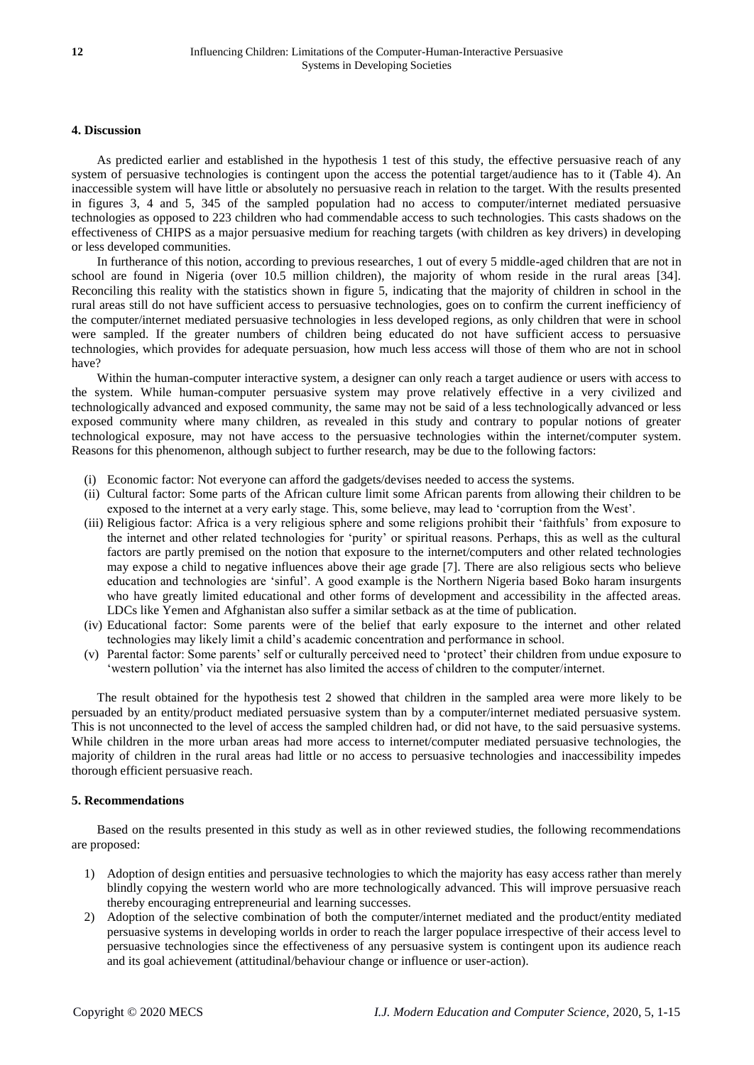## **4. Discussion**

As predicted earlier and established in the hypothesis 1 test of this study, the effective persuasive reach of any system of persuasive technologies is contingent upon the access the potential target/audience has to it (Table 4). An inaccessible system will have little or absolutely no persuasive reach in relation to the target. With the results presented in figures 3, 4 and 5, 345 of the sampled population had no access to computer/internet mediated persuasive technologies as opposed to 223 children who had commendable access to such technologies. This casts shadows on the effectiveness of CHIPS as a major persuasive medium for reaching targets (with children as key drivers) in developing or less developed communities.

In furtherance of this notion, according to previous researches, 1 out of every 5 middle-aged children that are not in school are found in Nigeria (over 10.5 million children), the majority of whom reside in the rural areas [34]. Reconciling this reality with the statistics shown in figure 5, indicating that the majority of children in school in the rural areas still do not have sufficient access to persuasive technologies, goes on to confirm the current inefficiency of the computer/internet mediated persuasive technologies in less developed regions, as only children that were in school were sampled. If the greater numbers of children being educated do not have sufficient access to persuasive technologies, which provides for adequate persuasion, how much less access will those of them who are not in school have?

Within the human-computer interactive system, a designer can only reach a target audience or users with access to the system. While human-computer persuasive system may prove relatively effective in a very civilized and technologically advanced and exposed community, the same may not be said of a less technologically advanced or less exposed community where many children, as revealed in this study and contrary to popular notions of greater technological exposure, may not have access to the persuasive technologies within the internet/computer system. Reasons for this phenomenon, although subject to further research, may be due to the following factors:

- (i) Economic factor: Not everyone can afford the gadgets/devises needed to access the systems.
- (ii) Cultural factor: Some parts of the African culture limit some African parents from allowing their children to be exposed to the internet at a very early stage. This, some believe, may lead to 'corruption from the West'.
- (iii) Religious factor: Africa is a very religious sphere and some religions prohibit their 'faithfuls' from exposure to the internet and other related technologies for 'purity' or spiritual reasons. Perhaps, this as well as the cultural factors are partly premised on the notion that exposure to the internet/computers and other related technologies may expose a child to negative influences above their age grade [7]. There are also religious sects who believe education and technologies are 'sinful'. A good example is the Northern Nigeria based Boko haram insurgents who have greatly limited educational and other forms of development and accessibility in the affected areas. LDCs like Yemen and Afghanistan also suffer a similar setback as at the time of publication.
- (iv) Educational factor: Some parents were of the belief that early exposure to the internet and other related technologies may likely limit a child's academic concentration and performance in school.
- (v) Parental factor: Some parents' self or culturally perceived need to 'protect' their children from undue exposure to 'western pollution' via the internet has also limited the access of children to the computer/internet.

The result obtained for the hypothesis test 2 showed that children in the sampled area were more likely to be persuaded by an entity/product mediated persuasive system than by a computer/internet mediated persuasive system. This is not unconnected to the level of access the sampled children had, or did not have, to the said persuasive systems. While children in the more urban areas had more access to internet/computer mediated persuasive technologies, the majority of children in the rural areas had little or no access to persuasive technologies and inaccessibility impedes thorough efficient persuasive reach.

#### **5. Recommendations**

Based on the results presented in this study as well as in other reviewed studies, the following recommendations are proposed:

- 1) Adoption of design entities and persuasive technologies to which the majority has easy access rather than merely blindly copying the western world who are more technologically advanced. This will improve persuasive reach thereby encouraging entrepreneurial and learning successes.
- 2) Adoption of the selective combination of both the computer/internet mediated and the product/entity mediated persuasive systems in developing worlds in order to reach the larger populace irrespective of their access level to persuasive technologies since the effectiveness of any persuasive system is contingent upon its audience reach and its goal achievement (attitudinal/behaviour change or influence or user-action).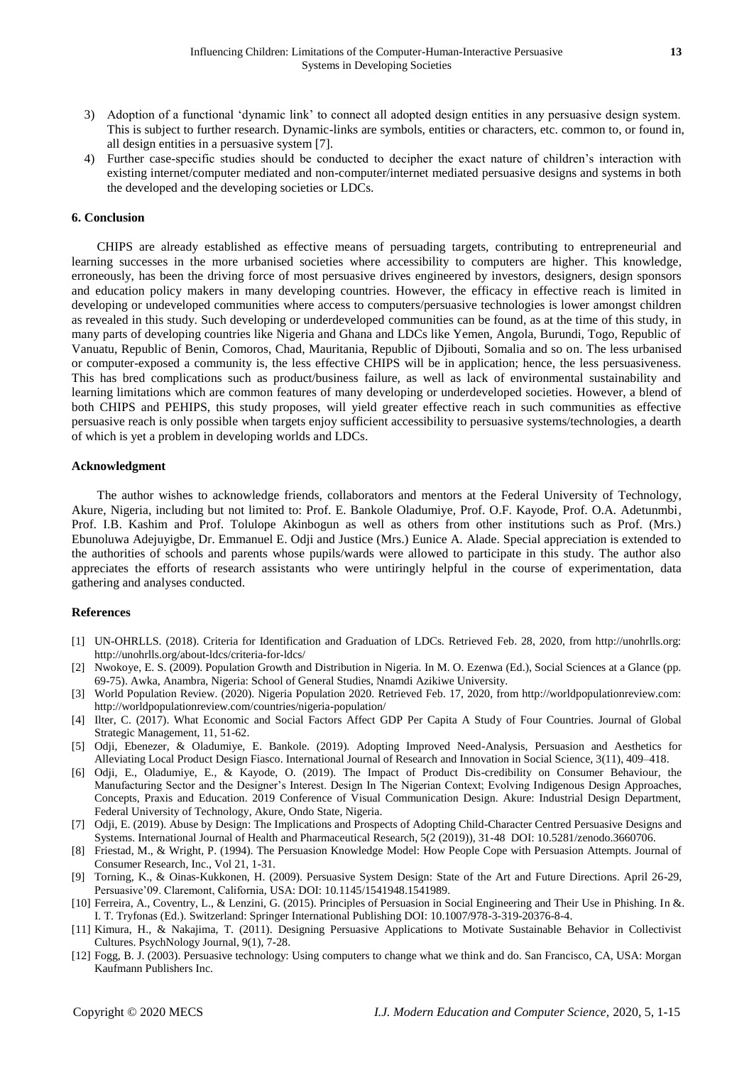- 3) Adoption of a functional 'dynamic link' to connect all adopted design entities in any persuasive design system. This is subject to further research. Dynamic-links are symbols, entities or characters, etc. common to, or found in, all design entities in a persuasive system [7].
- 4) Further case-specific studies should be conducted to decipher the exact nature of children's interaction with existing internet/computer mediated and non-computer/internet mediated persuasive designs and systems in both the developed and the developing societies or LDCs.

## **6. Conclusion**

CHIPS are already established as effective means of persuading targets, contributing to entrepreneurial and learning successes in the more urbanised societies where accessibility to computers are higher. This knowledge, erroneously, has been the driving force of most persuasive drives engineered by investors, designers, design sponsors and education policy makers in many developing countries. However, the efficacy in effective reach is limited in developing or undeveloped communities where access to computers/persuasive technologies is lower amongst children as revealed in this study. Such developing or underdeveloped communities can be found, as at the time of this study, in many parts of developing countries like Nigeria and Ghana and LDCs like Yemen, Angola, Burundi, Togo, Republic of Vanuatu, Republic of Benin, Comoros, Chad, Mauritania, Republic of Djibouti, Somalia and so on. The less urbanised or computer-exposed a community is, the less effective CHIPS will be in application; hence, the less persuasiveness. This has bred complications such as product/business failure, as well as lack of environmental sustainability and learning limitations which are common features of many developing or underdeveloped societies. However, a blend of both CHIPS and PEHIPS, this study proposes, will yield greater effective reach in such communities as effective persuasive reach is only possible when targets enjoy sufficient accessibility to persuasive systems/technologies, a dearth of which is yet a problem in developing worlds and LDCs.

### **Acknowledgment**

The author wishes to acknowledge friends, collaborators and mentors at the Federal University of Technology, Akure, Nigeria, including but not limited to: Prof. E. Bankole Oladumiye, Prof. O.F. Kayode, Prof. O.A. Adetunmbi, Prof. I.B. Kashim and Prof. Tolulope Akinbogun as well as others from other institutions such as Prof. (Mrs.) Ebunoluwa Adejuyigbe, Dr. Emmanuel E. Odji and Justice (Mrs.) Eunice A. Alade. Special appreciation is extended to the authorities of schools and parents whose pupils/wards were allowed to participate in this study. The author also appreciates the efforts of research assistants who were untiringly helpful in the course of experimentation, data gathering and analyses conducted.

#### **References**

- [1] UN-OHRLLS. (2018). Criteria for Identification and Graduation of LDCs. Retrieved Feb. 28, 2020, from http://unohrlls.org: http://unohrlls.org/about-ldcs/criteria-for-ldcs/
- [2] Nwokoye, E. S. (2009). Population Growth and Distribution in Nigeria. In M. O. Ezenwa (Ed.), Social Sciences at a Glance (pp. 69-75). Awka, Anambra, Nigeria: School of General Studies, Nnamdi Azikiwe University.
- [3] World Population Review. (2020). Nigeria Population 2020. Retrieved Feb. 17, 2020, from http://worldpopulationreview.com: http://worldpopulationreview.com/countries/nigeria-population/
- [4] Ilter, C. (2017). What Economic and Social Factors Affect GDP Per Capita A Study of Four Countries. Journal of Global Strategic Management, 11, 51-62.
- [5] Odji, Ebenezer, & Oladumiye, E. Bankole. (2019). Adopting Improved Need-Analysis, Persuasion and Aesthetics for Alleviating Local Product Design Fiasco. International Journal of Research and Innovation in Social Science, 3(11), 409–418.
- [6] Odji, E., Oladumiye, E., & Kayode, O. (2019). The Impact of Product Dis-credibility on Consumer Behaviour, the Manufacturing Sector and the Designer's Interest. Design In The Nigerian Context; Evolving Indigenous Design Approaches, Concepts, Praxis and Education. 2019 Conference of Visual Communication Design. Akure: Industrial Design Department, Federal University of Technology, Akure, Ondo State, Nigeria.
- [7] Odji, E. (2019). Abuse by Design: The Implications and Prospects of Adopting Child-Character Centred Persuasive Designs and Systems. International Journal of Health and Pharmaceutical Research, 5(2 (2019)), 31-48 DOI: 10.5281/zenodo.3660706.
- [8] Friestad, M., & Wright, P. (1994). The Persuasion Knowledge Model: How People Cope with Persuasion Attempts. Journal of Consumer Research, Inc., Vol 21, 1-31.
- [9] Torning, K., & Oinas-Kukkonen, H. (2009). Persuasive System Design: State of the Art and Future Directions. April 26-29, Persuasive'09. Claremont, California, USA: DOI: 10.1145/1541948.1541989.
- [10] Ferreira, A., Coventry, L., & Lenzini, G. (2015). Principles of Persuasion in Social Engineering and Their Use in Phishing. In &. I. T. Tryfonas (Ed.). Switzerland: Springer International Publishing DOI: 10.1007/978-3-319-20376-8-4.
- [11] Kimura, H., & Nakajima, T. (2011). Designing Persuasive Applications to Motivate Sustainable Behavior in Collectivist Cultures. PsychNology Journal, 9(1), 7-28.
- [12] Fogg, B. J. (2003). Persuasive technology: Using computers to change what we think and do. San Francisco, CA, USA: Morgan Kaufmann Publishers Inc.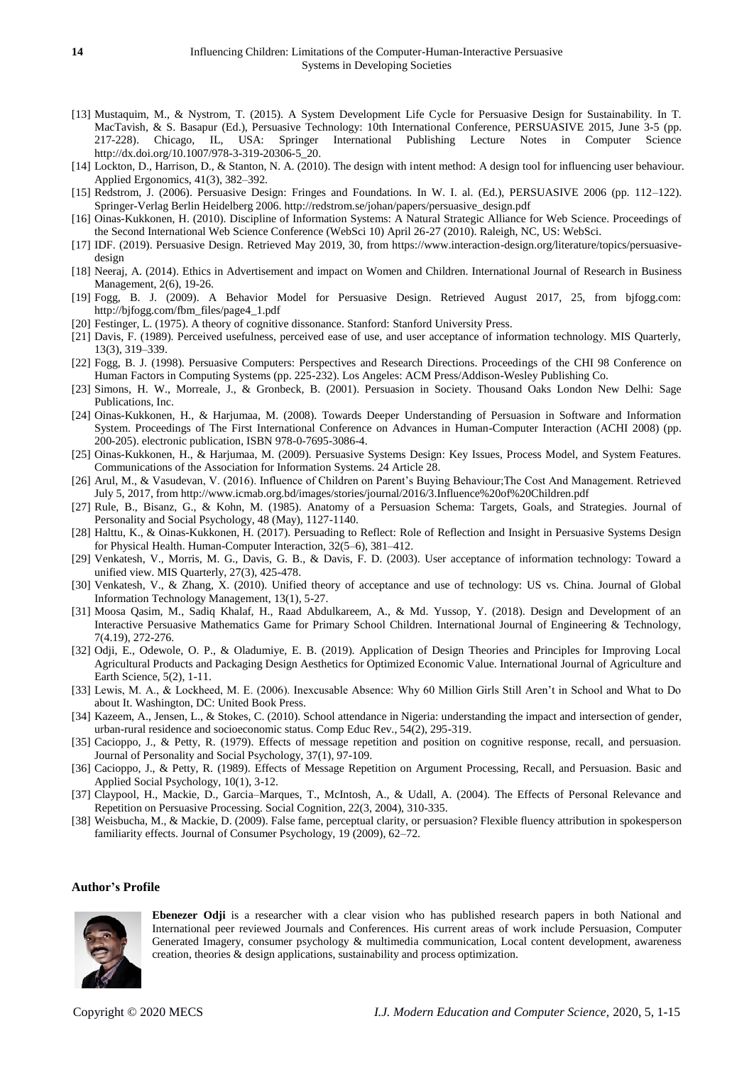- [13] Mustaquim, M., & Nystrom, T. (2015). A System Development Life Cycle for Persuasive Design for Sustainability. In T. MacTavish, & S. Basapur (Ed.), Persuasive Technology: 10th International Conference, PERSUASIVE 2015, June 3-5 (pp. 217-228). Chicago, IL, USA: Springer International Publishing Lecture Notes in Computer Science http://dx.doi.org/10.1007/978-3-319-20306-5\_20.
- [14] Lockton, D., Harrison, D., & Stanton, N. A. (2010). The design with intent method: A design tool for influencing user behaviour. Applied Ergonomics, 41(3), 382–392.
- [15] Redstrom, J. (2006). Persuasive Design: Fringes and Foundations. In W. I. al. (Ed.), PERSUASIVE 2006 (pp. 112–122). Springer-Verlag Berlin Heidelberg 2006. http://redstrom.se/johan/papers/persuasive\_design.pdf
- [16] Oinas-Kukkonen, H. (2010). Discipline of Information Systems: A Natural Strategic Alliance for Web Science. Proceedings of the Second International Web Science Conference (WebSci 10) April 26-27 (2010). Raleigh, NC, US: WebSci.
- [17] IDF. (2019). Persuasive Design. Retrieved May 2019, 30, from https://www.interaction-design.org/literature/topics/persuasivedesign
- [18] Neeraj, A. (2014). Ethics in Advertisement and impact on Women and Children. International Journal of Research in Business Management, 2(6), 19-26.
- [19] Fogg, B. J. (2009). A Behavior Model for Persuasive Design. Retrieved August 2017, 25, from bjfogg.com: http://bjfogg.com/fbm\_files/page4\_1.pdf
- [20] Festinger, L. (1975). A theory of cognitive dissonance. Stanford: Stanford University Press.
- [21] Davis, F. (1989). Perceived usefulness, perceived ease of use, and user acceptance of information technology. MIS Quarterly, 13(3), 319–339.
- [22] Fogg, B. J. (1998). Persuasive Computers: Perspectives and Research Directions. Proceedings of the CHI 98 Conference on Human Factors in Computing Systems (pp. 225-232). Los Angeles: ACM Press/Addison-Wesley Publishing Co.
- [23] Simons, H. W., Morreale, J., & Gronbeck, B. (2001). Persuasion in Society. Thousand Oaks London New Delhi: Sage Publications, Inc.
- [24] Oinas-Kukkonen, H., & Harjumaa, M. (2008). Towards Deeper Understanding of Persuasion in Software and Information System. Proceedings of The First International Conference on Advances in Human-Computer Interaction (ACHI 2008) (pp. 200-205). electronic publication, ISBN 978-0-7695-3086-4.
- [25] Oinas-Kukkonen, H., & Harjumaa, M. (2009). Persuasive Systems Design: Key Issues, Process Model, and System Features. Communications of the Association for Information Systems. 24 Article 28.
- [26] Arul, M., & Vasudevan, V. (2016). Influence of Children on Parent's Buying Behaviour;The Cost And Management. Retrieved July 5, 2017, from http://www.icmab.org.bd/images/stories/journal/2016/3.Influence%20of%20Children.pdf
- [27] Rule, B., Bisanz, G., & Kohn, M. (1985). Anatomy of a Persuasion Schema: Targets, Goals, and Strategies. Journal of Personality and Social Psychology, 48 (May), 1127-1140.
- [28] Halttu, K., & Oinas-Kukkonen, H. (2017). Persuading to Reflect: Role of Reflection and Insight in Persuasive Systems Design for Physical Health. Human-Computer Interaction, 32(5–6), 381–412.
- [29] Venkatesh, V., Morris, M. G., Davis, G. B., & Davis, F. D. (2003). User acceptance of information technology: Toward a unified view. MIS Quarterly, 27(3), 425-478.
- [30] Venkatesh, V., & Zhang, X. (2010). Unified theory of acceptance and use of technology: US vs. China. Journal of Global Information Technology Management, 13(1), 5-27.
- [31] Moosa Qasim, M., Sadiq Khalaf, H., Raad Abdulkareem, A., & Md. Yussop, Y. (2018). Design and Development of an Interactive Persuasive Mathematics Game for Primary School Children. International Journal of Engineering & Technology, 7(4.19), 272-276.
- [32] Odji, E., Odewole, O. P., & Oladumiye, E. B. (2019). Application of Design Theories and Principles for Improving Local Agricultural Products and Packaging Design Aesthetics for Optimized Economic Value. International Journal of Agriculture and Earth Science, 5(2), 1-11.
- [33] Lewis, M. A., & Lockheed, M. E. (2006). Inexcusable Absence: Why 60 Million Girls Still Aren't in School and What to Do about It. Washington, DC: United Book Press.
- [34] Kazeem, A., Jensen, L., & Stokes, C. (2010). School attendance in Nigeria: understanding the impact and intersection of gender, urban-rural residence and socioeconomic status. Comp Educ Rev., 54(2), 295-319.
- [35] Cacioppo, J., & Petty, R. (1979). Effects of message repetition and position on cognitive response, recall, and persuasion. Journal of Personality and Social Psychology, 37(1), 97-109.
- [36] Cacioppo, J., & Petty, R. (1989). Effects of Message Repetition on Argument Processing, Recall, and Persuasion. Basic and Applied Social Psychology, 10(1), 3-12.
- [37] Claypool, H., Mackie, D., Garcia–Marques, T., McIntosh, A., & Udall, A. (2004). The Effects of Personal Relevance and Repetition on Persuasive Processing. Social Cognition, 22(3, 2004), 310-335.
- [38] Weisbucha, M., & Mackie, D. (2009). False fame, perceptual clarity, or persuasion? Flexible fluency attribution in spokesperson familiarity effects. Journal of Consumer Psychology, 19 (2009), 62–72.

#### **Author's Profile**



**Ebenezer Odji** is a researcher with a clear vision who has published research papers in both National and International peer reviewed Journals and Conferences. His current areas of work include Persuasion, Computer Generated Imagery, consumer psychology & multimedia communication, Local content development, awareness creation, theories & design applications, sustainability and process optimization.